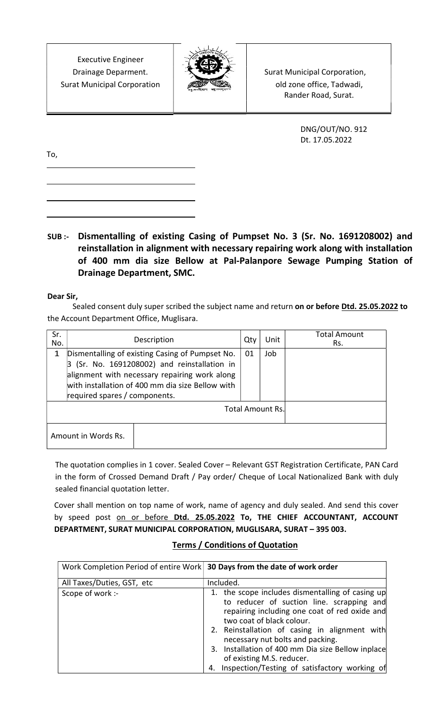Executive Engineer Surat Municipal Corporation  $\mathcal{L}$  **old zone office, Tadwadi,** 



Drainage Deparment. | Surat Municipal Corporation, Rander Road, Surat.

> DNG/OUT/NO. 912 Dt. 17.05.2022

To,

SUB :- Dismentalling of existing Casing of Pumpset No. 3 (Sr. No. 1691208002) and reinstallation in alignment with necessary repairing work along with installation of 400 mm dia size Bellow at Pal-Palanpore Sewage Pumping Station of Drainage Department, SMC.

Dear Sir,

Sealed consent duly super scribed the subject name and return on or before Dtd. 25.05.2022 to the Account Department Office, Muglisara.

| Sr.<br>No.                                                                                                                                                                                                                                   | Description         |    | Qty | Unit | <b>Total Amount</b><br>Rs. |
|----------------------------------------------------------------------------------------------------------------------------------------------------------------------------------------------------------------------------------------------|---------------------|----|-----|------|----------------------------|
| Dismentalling of existing Casing of Pumpset No.<br>1<br>$3$ (Sr. No. 1691208002) and reinstallation in<br>alignment with necessary repairing work along<br>with installation of 400 mm dia size Bellow with<br>required spares / components. |                     | 01 | Job |      |                            |
| <b>Total Amount Rs.</b>                                                                                                                                                                                                                      |                     |    |     |      |                            |
|                                                                                                                                                                                                                                              | Amount in Words Rs. |    |     |      |                            |

 The quotation complies in 1 cover. Sealed Cover – Relevant GST Registration Certificate, PAN Card in the form of Crossed Demand Draft / Pay order/ Cheque of Local Nationalized Bank with duly sealed financial quotation letter.

Cover shall mention on top name of work, name of agency and duly sealed. And send this cover by speed post on or before Dtd. 25.05.2022 To, THE CHIEF ACCOUNTANT, ACCOUNT DEPARTMENT, SURAT MUNICIPAL CORPORATION, MUGLISARA, SURAT – 395 003.

## Terms / Conditions of Quotation

| Work Completion Period of entire Work 30 Days from the date of work order |                                                                                                                         |  |  |  |
|---------------------------------------------------------------------------|-------------------------------------------------------------------------------------------------------------------------|--|--|--|
| All Taxes/Duties, GST, etc                                                | Included.                                                                                                               |  |  |  |
| Scope of work :-                                                          | 1. the scope includes dismentalling of casing up                                                                        |  |  |  |
|                                                                           | to reducer of suction line. scrapping and<br>repairing including one coat of red oxide and<br>two coat of black colour. |  |  |  |
|                                                                           | 2. Reinstallation of casing in alignment with<br>necessary nut bolts and packing.                                       |  |  |  |
|                                                                           | 3. Installation of 400 mm Dia size Bellow inplace<br>of existing M.S. reducer.                                          |  |  |  |
|                                                                           | 4. Inspection/Testing of satisfactory working of                                                                        |  |  |  |